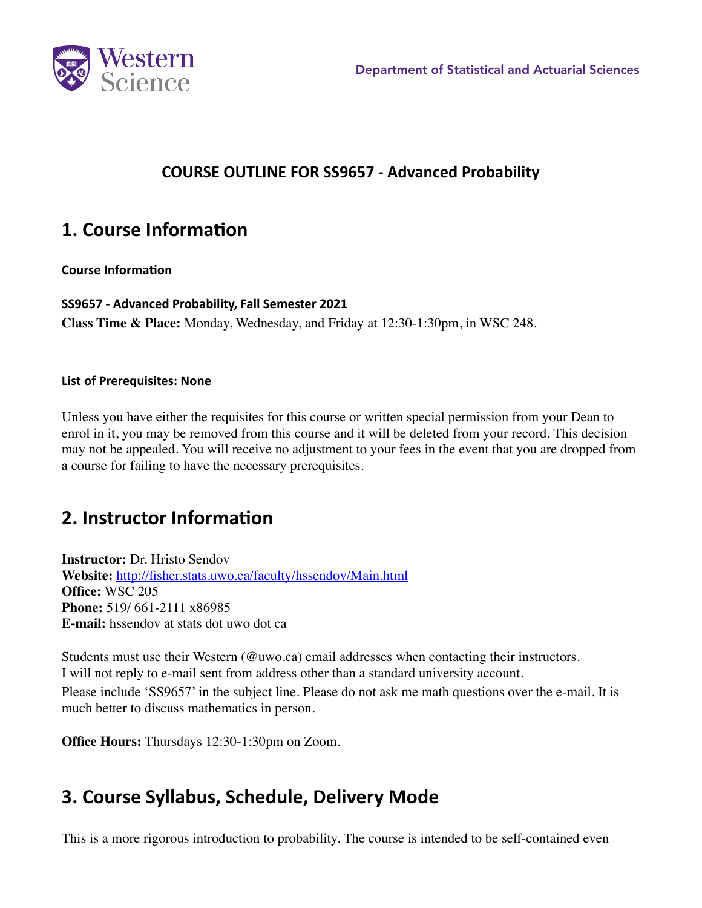

### **COURSE OUTLINE FOR SS9657 - Advanced Probability**

### **1. Course Information**

#### **Course Information**

**SS9657 - Advanced Probability, Fall Semester 2021 Class Time & Place:** Monday, Wednesday, and Friday at 12:30-1:30pm, in WSC 248.

#### **List of Prerequisites: None**

Unless you have either the requisites for this course or written special permission from your Dean to enrol in it, you may be removed from this course and it will be deleted from your record. This decision may not be appealed. You will receive no adjustment to your fees in the event that you are dropped from a course for failing to have the necessary prerequisites.

## **2. Instructor Information**

**Instructor:** Dr. Hristo Sendov **Website:** http://fisher.stats.uwo.ca/faculty/hssendov/Main.html **Office:** WSC 205 **Phone:** 519/ 661-2111 x86985 **E-mail:** hssendov at stats dot uwo dot ca

Students must use their Western (@uwo.ca) email addresses when contacting their instructors. I will not reply to e-mail sent from address other than a standard university account. Please include 'SS9657' in the subject line. Please do not ask me math questions over the e-mail. It is much better to discuss mathematics in person.

**Office Hours:** Thursdays 12:30-1:30pm on Zoom.

## **3. Course Syllabus, Schedule, Delivery Mode**

This is a more rigorous introduction to probability. The course is intended to be self-contained even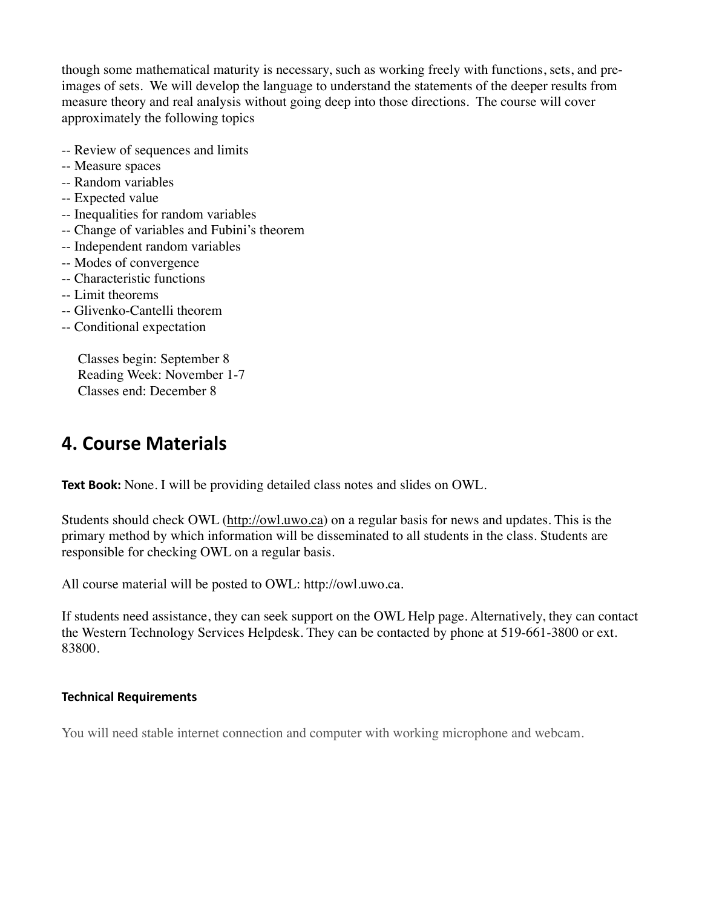though some mathematical maturity is necessary, such as working freely with functions, sets, and preimages of sets. We will develop the language to understand the statements of the deeper results from measure theory and real analysis without going deep into those directions. The course will cover approximately the following topics

- -- Review of sequences and limits
- -- Measure spaces
- -- Random variables
- -- Expected value
- -- Inequalities for random variables
- -- Change of variables and Fubini's theorem
- -- Independent random variables
- -- Modes of convergence
- -- Characteristic functions
- -- Limit theorems
- -- Glivenko-Cantelli theorem
- -- Conditional expectation

Classes begin: September 8 Reading Week: November 1-7 Classes end: December 8

### **4. Course Materials**

**Text Book:** None. I will be providing detailed class notes and slides on OWL.

Students should check OWL [\(http://owl.uwo.ca](http://owl.uwo.ca)) on a regular basis for news and updates. This is the primary method by which information will be disseminated to all students in the class. Students are responsible for checking OWL on a regular basis.

All course material will be posted to OWL: http://owl.uwo.ca.

If students need assistance, they can seek support on the OWL Help page. Alternatively, they can contact the Western Technology Services Helpdesk. They can be contacted by phone at 519-661-3800 or ext. 83800.

#### **Technical Requirements**

You will need stable internet connection and computer with working microphone and webcam.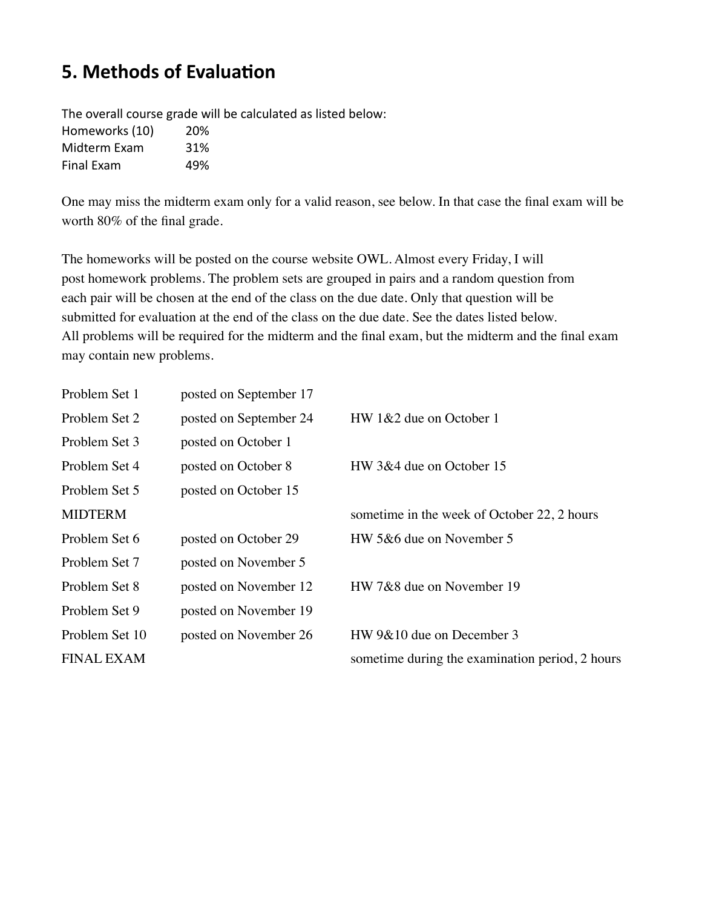# **5. Methods of Evaluation**

The overall course grade will be calculated as listed below: Homeworks (10) 20% Midterm Exam 31% Final Exam 49%

One may miss the midterm exam only for a valid reason, see below. In that case the final exam will be worth 80% of the final grade.

The homeworks will be posted on the course website OWL. Almost every Friday, I will post homework problems. The problem sets are grouped in pairs and a random question from each pair will be chosen at the end of the class on the due date. Only that question will be submitted for evaluation at the end of the class on the due date. See the dates listed below. All problems will be required for the midterm and the final exam, but the midterm and the final exam may contain new problems.

| Problem Set 1     | posted on September 17 |                                                 |
|-------------------|------------------------|-------------------------------------------------|
| Problem Set 2     | posted on September 24 | $HW 1&2$ due on October 1                       |
| Problem Set 3     | posted on October 1    |                                                 |
| Problem Set 4     | posted on October 8    | HW 3&4 due on October 15                        |
| Problem Set 5     | posted on October 15   |                                                 |
| <b>MIDTERM</b>    |                        | sometime in the week of October 22, 2 hours     |
| Problem Set 6     | posted on October 29   | HW 5&6 due on November 5                        |
| Problem Set 7     | posted on November 5   |                                                 |
| Problem Set 8     | posted on November 12  | HW 7&8 due on November 19                       |
| Problem Set 9     | posted on November 19  |                                                 |
| Problem Set 10    | posted on November 26  | HW 9&10 due on December 3                       |
| <b>FINAL EXAM</b> |                        | sometime during the examination period, 2 hours |
|                   |                        |                                                 |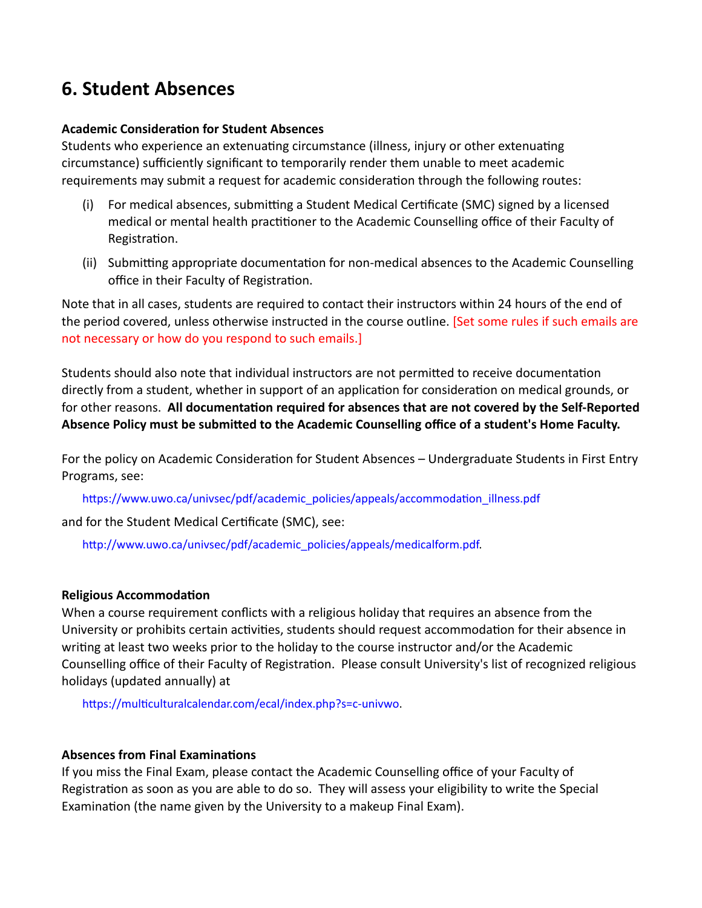### **6. Student Absences**

#### **Academic Consideration for Student Absences**

Students who experience an extenuating circumstance (illness, injury or other extenuating circumstance) sufficiently significant to temporarily render them unable to meet academic requirements may submit a request for academic consideration through the following routes:

- (i) For medical absences, submitting a Student Medical Certificate (SMC) signed by a licensed medical or mental health practitioner to the Academic Counselling office of their Faculty of Registration.
- (ii) Submitting appropriate documentation for non-medical absences to the Academic Counselling office in their Faculty of Registration.

Note that in all cases, students are required to contact their instructors within 24 hours of the end of the period covered, unless otherwise instructed in the course outline. [Set some rules if such emails are not necessary or how do you respond to such emails.]

Students should also note that individual instructors are not permitted to receive documentation directly from a student, whether in support of an application for consideration on medical grounds, or for other reasons. **All documentation required for absences that are not covered by the Self-Reported Absence Policy must be submitted to the Academic Counselling office of a student's Home Faculty.**

For the policy on Academic Consideration for Student Absences – Undergraduate Students in First Entry Programs, see:

https://www.uwo.ca/univsec/pdf/academic\_policies/appeals/accommodation\_illness.pdf

and for the Student Medical Certificate (SMC), see:

http://www.uwo.ca/univsec/pdf/academic\_policies/appeals/medicalform.pdf.

#### **Religious Accommodation**

When a course requirement conflicts with a religious holiday that requires an absence from the University or prohibits certain activities, students should request accommodation for their absence in writing at least two weeks prior to the holiday to the course instructor and/or the Academic Counselling office of their Faculty of Registration. Please consult University's list of recognized religious holidays (updated annually) at

https://multiculturalcalendar.com/ecal/index.php?s=c-univwo.

#### **Absences from Final Examinations**

If you miss the Final Exam, please contact the Academic Counselling office of your Faculty of Registration as soon as you are able to do so. They will assess your eligibility to write the Special Examination (the name given by the University to a makeup Final Exam).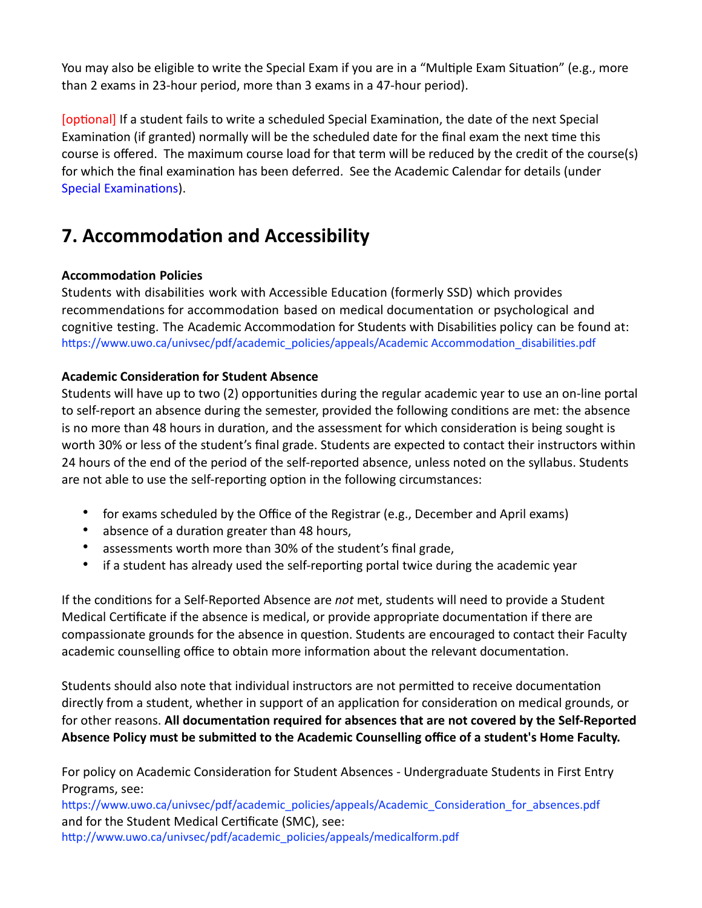You may also be eligible to write the Special Exam if you are in a "Multiple Exam Situation" (e.g., more than 2 exams in 23-hour period, more than 3 exams in a 47-hour period).

[optional] If a student fails to write a scheduled Special Examination, the date of the next Special Examination (if granted) normally will be the scheduled date for the final exam the next time this course is offered. The maximum course load for that term will be reduced by the credit of the course(s) for which the final examination has been deferred. See the Academic Calendar for details (under Special Examinations).

# **7. Accommodation and Accessibility**

#### **Accommodation Policies**

Students with disabilities work with Accessible Education (formerly SSD) which provides recommendations for accommodation based on medical documentation or psychological and cognitive testing. The Academic Accommodation for Students with Disabilities policy can be found at: [https://www.uwo.ca/univsec/pdf/academic\\_policies/appeals/Academic Accommodation\\_disabilities.pdf](https://www.uwo.ca/univsec/pdf/academic_policies/appeals/Academic%2520Accommodation_disabilities.pdf) 

#### **Academic Consideration for Student Absence**

Students will have up to two (2) opportunities during the regular academic year to use an on-line portal to self-report an absence during the semester, provided the following conditions are met: the absence is no more than 48 hours in duration, and the assessment for which consideration is being sought is worth 30% or less of the student's final grade. Students are expected to contact their instructors within 24 hours of the end of the period of the self-reported absence, unless noted on the syllabus. Students are not able to use the self-reporting option in the following circumstances:

- for exams scheduled by the Office of the Registrar (e.g., December and April exams)
- absence of a duration greater than 48 hours,
- assessments worth more than 30% of the student's final grade,
- if a student has already used the self-reporting portal twice during the academic year

If the conditions for a Self-Reported Absence are *not* met, students will need to provide a Student Medical Certificate if the absence is medical, or provide appropriate documentation if there are compassionate grounds for the absence in question. Students are encouraged to contact their Faculty academic counselling office to obtain more information about the relevant documentation.

Students should also note that individual instructors are not permitted to receive documentation directly from a student, whether in support of an application for consideration on medical grounds, or for other reasons. **All documentation required for absences that are not covered by the Self-Reported Absence Policy must be submitted to the Academic Counselling office of a student's Home Faculty.**

For policy on Academic Consideration for Student Absences - Undergraduate Students in First Entry Programs, see:

[https://www.uwo.ca/univsec/pdf/academic\\_policies/appeals/Academic\\_Consideration\\_for\\_absences.pdf](https://www.uwo.ca/univsec/pdf/academic_policies/appeals/Academic_Consideration_for_absences.pdf)  and for the Student Medical Certificate (SMC), see:

[http://www.uwo.ca/univsec/pdf/academic\\_policies/appeals/medicalform.pdf](http://www.uwo.ca/univsec/pdf/academic_policies/appeals/medicalform.pdf)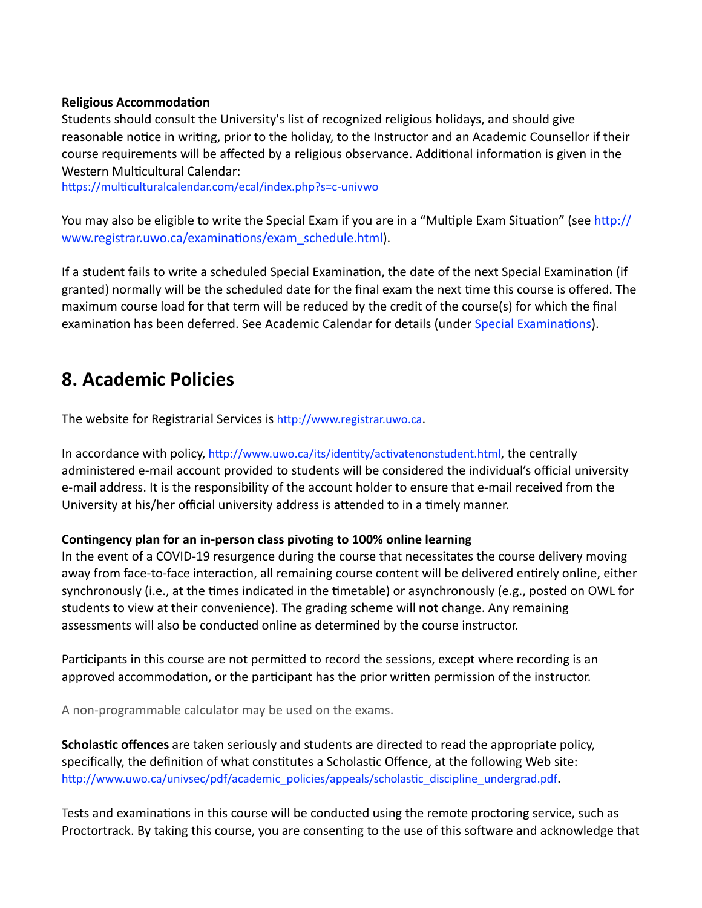#### **Religious Accommodation**

Students should consult the University's list of recognized religious holidays, and should give reasonable notice in writing, prior to the holiday, to the Instructor and an Academic Counsellor if their course requirements will be affected by a religious observance. Additional information is given in the Western Multicultural Calendar:

<https://multiculturalcalendar.com/ecal/index.php?s=c-univwo>

You may also be eligible to write the Special Exam if you are in a "Multiple Exam Situation" (see [http://](http://www.registrar.uwo.ca/examinations/exam_schedule.html) [www.registrar.uwo.ca/examinations/exam\\_schedule.html](http://www.registrar.uwo.ca/examinations/exam_schedule.html)).

If a student fails to write a scheduled Special Examination, the date of the next Special Examination (if granted) normally will be the scheduled date for the final exam the next time this course is offered. The maximum course load for that term will be reduced by the credit of the course(s) for which the final examination has been deferred. See Academic Calendar for details (under [Special Examinations](https://www.westerncalendar.uwo.ca/PolicyPages.cfm?Command=showCategory&PolicyCategoryID=5&SelectedCalendar=Live&ArchiveID=#SubHeading_70)).

### **8. Academic Policies**

The website for Registrarial Services is <http://www.registrar.uwo.ca>.

In accordance with policy,<http://www.uwo.ca/its/identity/activatenonstudent.html>, the centrally administered e-mail account provided to students will be considered the individual's official university e-mail address. It is the responsibility of the account holder to ensure that e-mail received from the University at his/her official university address is attended to in a timely manner.

#### **Contingency plan for an in-person class pivoting to 100% online learning**

In the event of a COVID-19 resurgence during the course that necessitates the course delivery moving away from face-to-face interaction, all remaining course content will be delivered entirely online, either synchronously (i.e., at the times indicated in the timetable) or asynchronously (e.g., posted on OWL for students to view at their convenience). The grading scheme will **not** change. Any remaining assessments will also be conducted online as determined by the course instructor.

Participants in this course are not permitted to record the sessions, except where recording is an approved accommodation, or the participant has the prior written permission of the instructor.

A non-programmable calculator may be used on the exams.

**Scholastic offences** are taken seriously and students are directed to read the appropriate policy, specifically, the definition of what constitutes a Scholastic Offence, at the following Web site: [http://www.uwo.ca/univsec/pdf/academic\\_policies/appeals/scholastic\\_discipline\\_undergrad.pdf](http://www.uwo.ca/univsec/pdf/academic_policies/appeals/scholastic_discipline_undergrad.pdf).

Tests and examinations in this course will be conducted using the remote proctoring service, such as Proctortrack. By taking this course, you are consenting to the use of this software and acknowledge that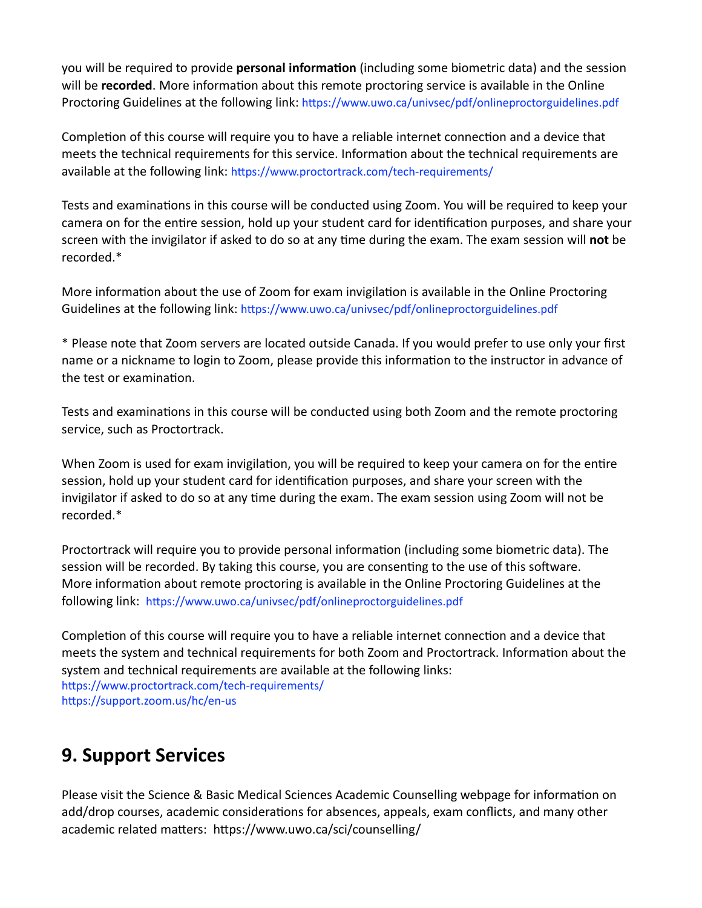you will be required to provide **personal information** (including some biometric data) and the session will be **recorded**. More information about this remote proctoring service is available in the Online Proctoring Guidelines at the following link:<https://www.uwo.ca/univsec/pdf/onlineproctorguidelines.pdf>

Completion of this course will require you to have a reliable internet connection and a device that meets the technical requirements for this service. Information about the technical requirements are available at the following link:<https://www.proctortrack.com/tech-requirements/>

Tests and examinations in this course will be conducted using Zoom. You will be required to keep your camera on for the entire session, hold up your student card for identification purposes, and share your screen with the invigilator if asked to do so at any time during the exam. The exam session will **not** be recorded.\*

More information about the use of Zoom for exam invigilation is available in the Online Proctoring Guidelines at the following link:<https://www.uwo.ca/univsec/pdf/onlineproctorguidelines.pdf>

\* Please note that Zoom servers are located outside Canada. If you would prefer to use only your first name or a nickname to login to Zoom, please provide this information to the instructor in advance of the test or examination.

Tests and examinations in this course will be conducted using both Zoom and the remote proctoring service, such as Proctortrack.

When Zoom is used for exam invigilation, you will be required to keep your camera on for the entire session, hold up your student card for identification purposes, and share your screen with the invigilator if asked to do so at any time during the exam. The exam session using Zoom will not be recorded.\*

Proctortrack will require you to provide personal information (including some biometric data). The session will be recorded. By taking this course, you are consenting to the use of this software. More information about remote proctoring is available in the Online Proctoring Guidelines at the following link: <https://www.uwo.ca/univsec/pdf/onlineproctorguidelines.pdf>

Completion of this course will require you to have a reliable internet connection and a device that meets the system and technical requirements for both Zoom and Proctortrack. Information about the system and technical requirements are available at the following links: <https://www.proctortrack.com/tech-requirements/> <https://support.zoom.us/hc/en-us>

# **9. Support Services**

Please visit the Science & Basic Medical Sciences Academic Counselling webpage for information on add/drop courses, academic considerations for absences, appeals, exam conflicts, and many other academic related matters: https://www.uwo.ca/sci/counselling/